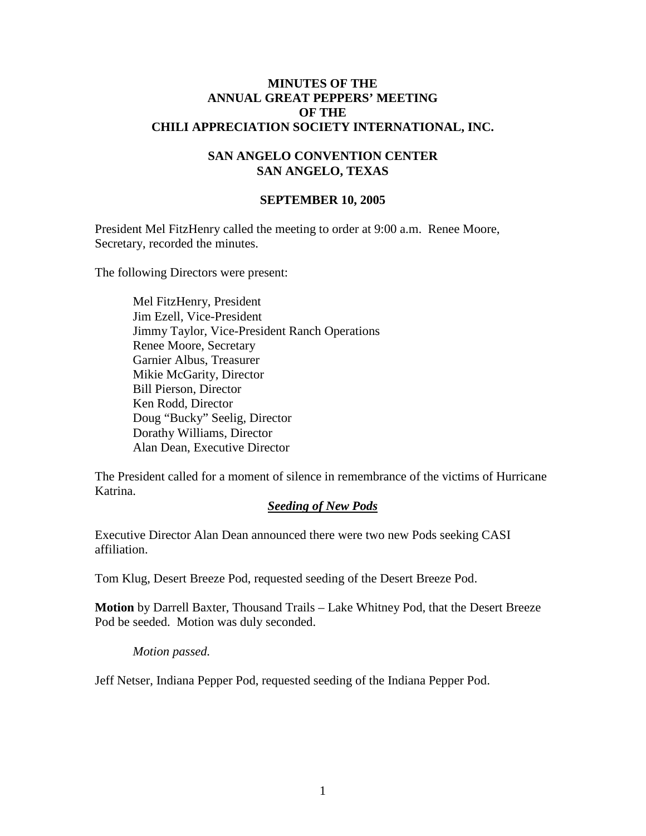### **MINUTES OF THE ANNUAL GREAT PEPPERS' MEETING OF THE CHILI APPRECIATION SOCIETY INTERNATIONAL, INC.**

## **SAN ANGELO CONVENTION CENTER SAN ANGELO, TEXAS**

#### **SEPTEMBER 10, 2005**

President Mel FitzHenry called the meeting to order at 9:00 a.m. Renee Moore, Secretary, recorded the minutes.

The following Directors were present:

Mel FitzHenry, President Jim Ezell, Vice-President Jimmy Taylor, Vice-President Ranch Operations Renee Moore, Secretary Garnier Albus, Treasurer Mikie McGarity, Director Bill Pierson, Director Ken Rodd, Director Doug "Bucky" Seelig, Director Dorathy Williams, Director Alan Dean, Executive Director

The President called for a moment of silence in remembrance of the victims of Hurricane Katrina.

#### *Seeding of New Pods*

Executive Director Alan Dean announced there were two new Pods seeking CASI affiliation.

Tom Klug, Desert Breeze Pod, requested seeding of the Desert Breeze Pod.

**Motion** by Darrell Baxter, Thousand Trails – Lake Whitney Pod, that the Desert Breeze Pod be seeded. Motion was duly seconded.

#### *Motion passed.*

Jeff Netser, Indiana Pepper Pod, requested seeding of the Indiana Pepper Pod.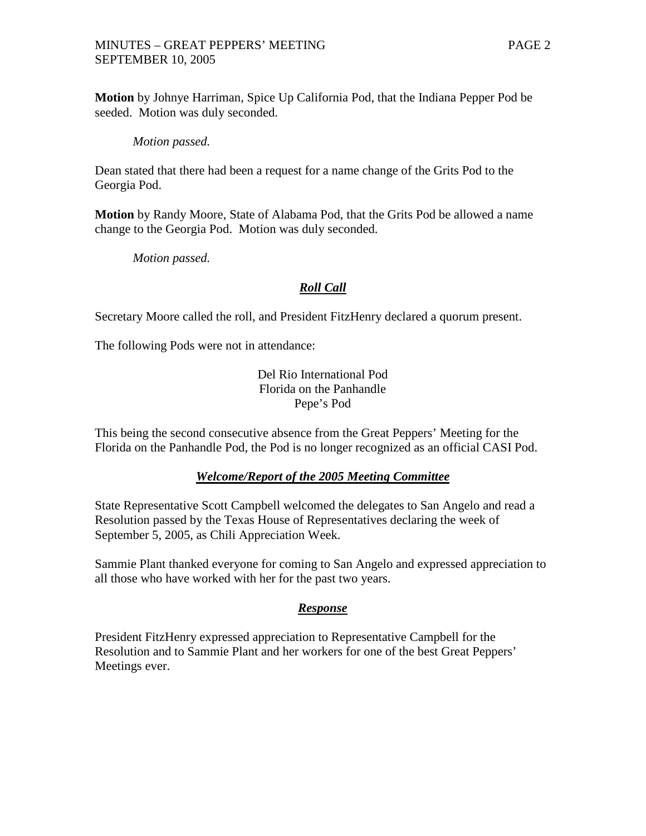## MINUTES – GREAT PEPPERS' MEETING PAGE 2 SEPTEMBER 10, 2005

**Motion** by Johnye Harriman, Spice Up California Pod, that the Indiana Pepper Pod be seeded. Motion was duly seconded.

### *Motion passed.*

Dean stated that there had been a request for a name change of the Grits Pod to the Georgia Pod.

**Motion** by Randy Moore, State of Alabama Pod, that the Grits Pod be allowed a name change to the Georgia Pod. Motion was duly seconded.

*Motion passed.*

# *Roll Call*

Secretary Moore called the roll, and President FitzHenry declared a quorum present.

The following Pods were not in attendance:

Del Rio International Pod Florida on the Panhandle Pepe's Pod

This being the second consecutive absence from the Great Peppers' Meeting for the Florida on the Panhandle Pod, the Pod is no longer recognized as an official CASI Pod.

## *Welcome/Report of the 2005 Meeting Committee*

State Representative Scott Campbell welcomed the delegates to San Angelo and read a Resolution passed by the Texas House of Representatives declaring the week of September 5, 2005, as Chili Appreciation Week.

Sammie Plant thanked everyone for coming to San Angelo and expressed appreciation to all those who have worked with her for the past two years.

## *Response*

President FitzHenry expressed appreciation to Representative Campbell for the Resolution and to Sammie Plant and her workers for one of the best Great Peppers' Meetings ever.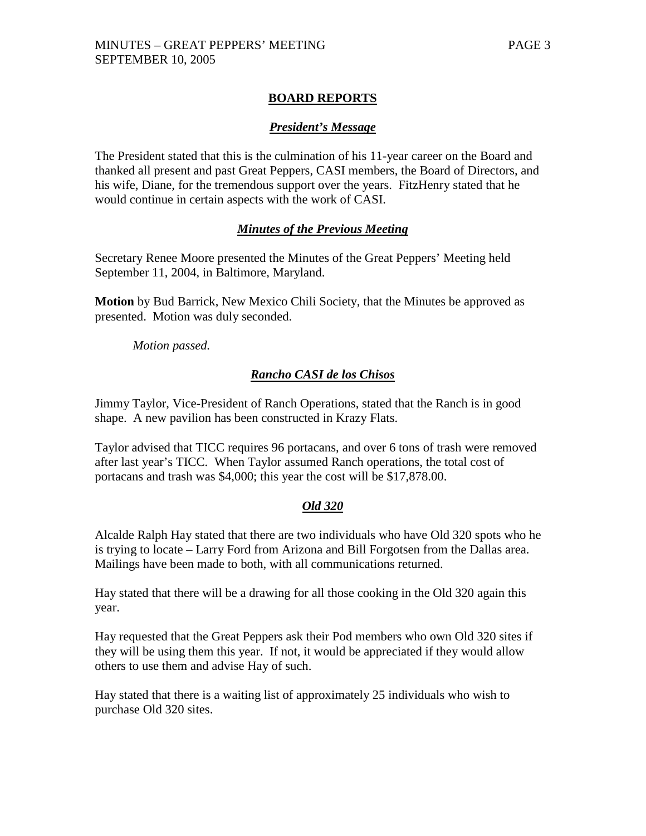# **BOARD REPORTS**

## *President's Message*

The President stated that this is the culmination of his 11-year career on the Board and thanked all present and past Great Peppers, CASI members, the Board of Directors, and his wife, Diane, for the tremendous support over the years. FitzHenry stated that he would continue in certain aspects with the work of CASI.

## *Minutes of the Previous Meeting*

Secretary Renee Moore presented the Minutes of the Great Peppers' Meeting held September 11, 2004, in Baltimore, Maryland.

**Motion** by Bud Barrick, New Mexico Chili Society, that the Minutes be approved as presented. Motion was duly seconded.

*Motion passed.*

## *Rancho CASI de los Chisos*

Jimmy Taylor, Vice-President of Ranch Operations, stated that the Ranch is in good shape. A new pavilion has been constructed in Krazy Flats.

Taylor advised that TICC requires 96 portacans, and over 6 tons of trash were removed after last year's TICC. When Taylor assumed Ranch operations, the total cost of portacans and trash was \$4,000; this year the cost will be \$17,878.00.

## *Old 320*

Alcalde Ralph Hay stated that there are two individuals who have Old 320 spots who he is trying to locate – Larry Ford from Arizona and Bill Forgotsen from the Dallas area. Mailings have been made to both, with all communications returned.

Hay stated that there will be a drawing for all those cooking in the Old 320 again this year.

Hay requested that the Great Peppers ask their Pod members who own Old 320 sites if they will be using them this year. If not, it would be appreciated if they would allow others to use them and advise Hay of such.

Hay stated that there is a waiting list of approximately 25 individuals who wish to purchase Old 320 sites.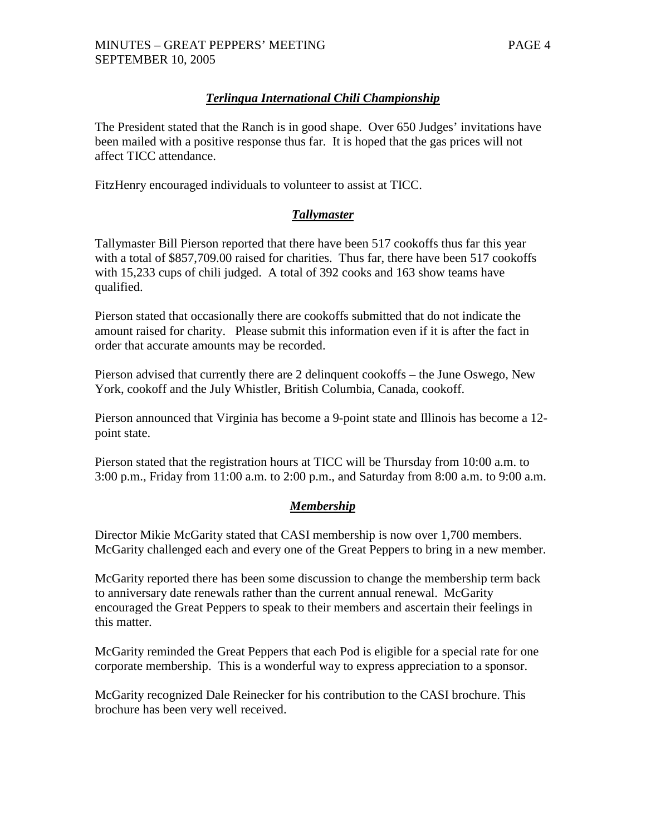# *Terlingua International Chili Championship*

The President stated that the Ranch is in good shape. Over 650 Judges' invitations have been mailed with a positive response thus far. It is hoped that the gas prices will not affect TICC attendance.

FitzHenry encouraged individuals to volunteer to assist at TICC.

# *Tallymaster*

Tallymaster Bill Pierson reported that there have been 517 cookoffs thus far this year with a total of \$857,709.00 raised for charities. Thus far, there have been 517 cookoffs with 15,233 cups of chili judged. A total of 392 cooks and 163 show teams have qualified.

Pierson stated that occasionally there are cookoffs submitted that do not indicate the amount raised for charity. Please submit this information even if it is after the fact in order that accurate amounts may be recorded.

Pierson advised that currently there are 2 delinquent cookoffs – the June Oswego, New York, cookoff and the July Whistler, British Columbia, Canada, cookoff.

Pierson announced that Virginia has become a 9-point state and Illinois has become a 12 point state.

Pierson stated that the registration hours at TICC will be Thursday from 10:00 a.m. to 3:00 p.m., Friday from 11:00 a.m. to 2:00 p.m., and Saturday from 8:00 a.m. to 9:00 a.m.

## *Membership*

Director Mikie McGarity stated that CASI membership is now over 1,700 members. McGarity challenged each and every one of the Great Peppers to bring in a new member.

McGarity reported there has been some discussion to change the membership term back to anniversary date renewals rather than the current annual renewal. McGarity encouraged the Great Peppers to speak to their members and ascertain their feelings in this matter.

McGarity reminded the Great Peppers that each Pod is eligible for a special rate for one corporate membership. This is a wonderful way to express appreciation to a sponsor.

McGarity recognized Dale Reinecker for his contribution to the CASI brochure. This brochure has been very well received.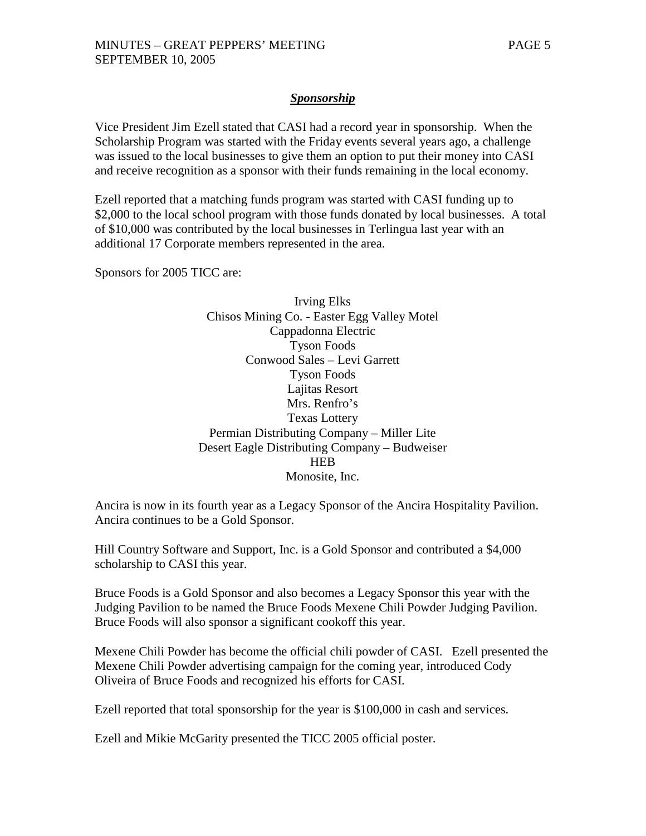## *Sponsorship*

Vice President Jim Ezell stated that CASI had a record year in sponsorship. When the Scholarship Program was started with the Friday events several years ago, a challenge was issued to the local businesses to give them an option to put their money into CASI and receive recognition as a sponsor with their funds remaining in the local economy.

Ezell reported that a matching funds program was started with CASI funding up to \$2,000 to the local school program with those funds donated by local businesses. A total of \$10,000 was contributed by the local businesses in Terlingua last year with an additional 17 Corporate members represented in the area.

Sponsors for 2005 TICC are:

Irving Elks Chisos Mining Co. - Easter Egg Valley Motel Cappadonna Electric Tyson Foods Conwood Sales – Levi Garrett Tyson Foods Lajitas Resort Mrs. Renfro's Texas Lottery Permian Distributing Company – Miller Lite Desert Eagle Distributing Company – Budweiser **HEB** Monosite, Inc.

Ancira is now in its fourth year as a Legacy Sponsor of the Ancira Hospitality Pavilion. Ancira continues to be a Gold Sponsor.

Hill Country Software and Support, Inc. is a Gold Sponsor and contributed a \$4,000 scholarship to CASI this year.

Bruce Foods is a Gold Sponsor and also becomes a Legacy Sponsor this year with the Judging Pavilion to be named the Bruce Foods Mexene Chili Powder Judging Pavilion. Bruce Foods will also sponsor a significant cookoff this year.

Mexene Chili Powder has become the official chili powder of CASI. Ezell presented the Mexene Chili Powder advertising campaign for the coming year, introduced Cody Oliveira of Bruce Foods and recognized his efforts for CASI.

Ezell reported that total sponsorship for the year is \$100,000 in cash and services.

Ezell and Mikie McGarity presented the TICC 2005 official poster.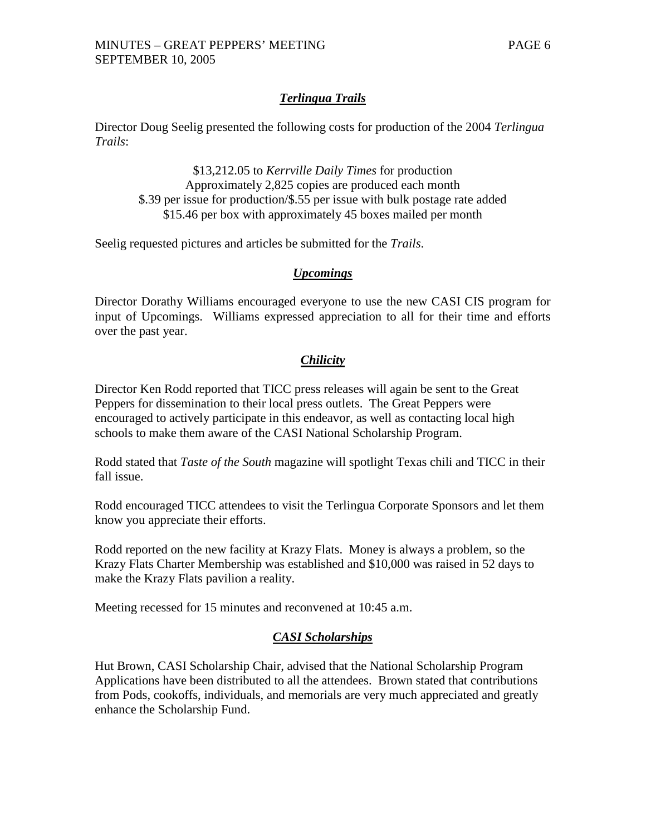# *Terlingua Trails*

Director Doug Seelig presented the following costs for production of the 2004 *Terlingua Trails*:

\$13,212.05 to *Kerrville Daily Times* for production Approximately 2,825 copies are produced each month \$.39 per issue for production/\$.55 per issue with bulk postage rate added \$15.46 per box with approximately 45 boxes mailed per month

Seelig requested pictures and articles be submitted for the *Trails*.

## *Upcomings*

Director Dorathy Williams encouraged everyone to use the new CASI CIS program for input of Upcomings. Williams expressed appreciation to all for their time and efforts over the past year.

# *Chilicity*

Director Ken Rodd reported that TICC press releases will again be sent to the Great Peppers for dissemination to their local press outlets. The Great Peppers were encouraged to actively participate in this endeavor, as well as contacting local high schools to make them aware of the CASI National Scholarship Program.

Rodd stated that *Taste of the South* magazine will spotlight Texas chili and TICC in their fall issue.

Rodd encouraged TICC attendees to visit the Terlingua Corporate Sponsors and let them know you appreciate their efforts.

Rodd reported on the new facility at Krazy Flats. Money is always a problem, so the Krazy Flats Charter Membership was established and \$10,000 was raised in 52 days to make the Krazy Flats pavilion a reality.

Meeting recessed for 15 minutes and reconvened at 10:45 a.m.

## *CASI Scholarships*

Hut Brown, CASI Scholarship Chair, advised that the National Scholarship Program Applications have been distributed to all the attendees. Brown stated that contributions from Pods, cookoffs, individuals, and memorials are very much appreciated and greatly enhance the Scholarship Fund.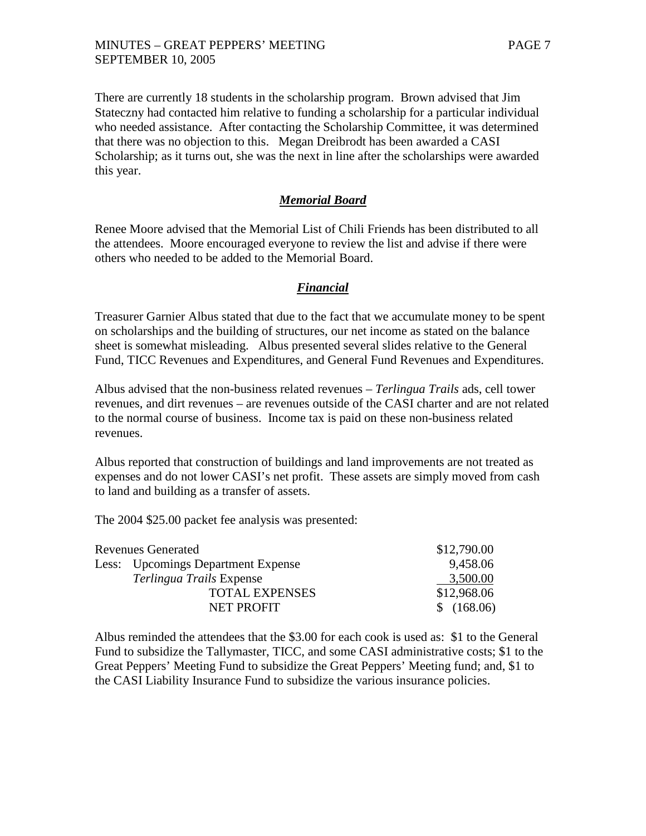There are currently 18 students in the scholarship program. Brown advised that Jim Stateczny had contacted him relative to funding a scholarship for a particular individual who needed assistance. After contacting the Scholarship Committee, it was determined that there was no objection to this. Megan Dreibrodt has been awarded a CASI Scholarship; as it turns out, she was the next in line after the scholarships were awarded this year.

## *Memorial Board*

Renee Moore advised that the Memorial List of Chili Friends has been distributed to all the attendees. Moore encouraged everyone to review the list and advise if there were others who needed to be added to the Memorial Board.

## *Financial*

Treasurer Garnier Albus stated that due to the fact that we accumulate money to be spent on scholarships and the building of structures, our net income as stated on the balance sheet is somewhat misleading. Albus presented several slides relative to the General Fund, TICC Revenues and Expenditures, and General Fund Revenues and Expenditures.

Albus advised that the non-business related revenues – *Terlingua Trails* ads, cell tower revenues, and dirt revenues – are revenues outside of the CASI charter and are not related to the normal course of business. Income tax is paid on these non-business related revenues.

Albus reported that construction of buildings and land improvements are not treated as expenses and do not lower CASI's net profit. These assets are simply moved from cash to land and building as a transfer of assets.

The 2004 \$25.00 packet fee analysis was presented:

| <b>Revenues Generated</b> |                                    | \$12,790.00 |
|---------------------------|------------------------------------|-------------|
|                           | Less: Upcomings Department Expense | 9,458.06    |
|                           | <i>Terlingua Trails</i> Expense    | 3,500.00    |
|                           | <b>TOTAL EXPENSES</b>              | \$12,968.06 |
|                           | <b>NET PROFIT</b>                  | \$(168.06)  |

Albus reminded the attendees that the \$3.00 for each cook is used as: \$1 to the General Fund to subsidize the Tallymaster, TICC, and some CASI administrative costs; \$1 to the Great Peppers' Meeting Fund to subsidize the Great Peppers' Meeting fund; and, \$1 to the CASI Liability Insurance Fund to subsidize the various insurance policies.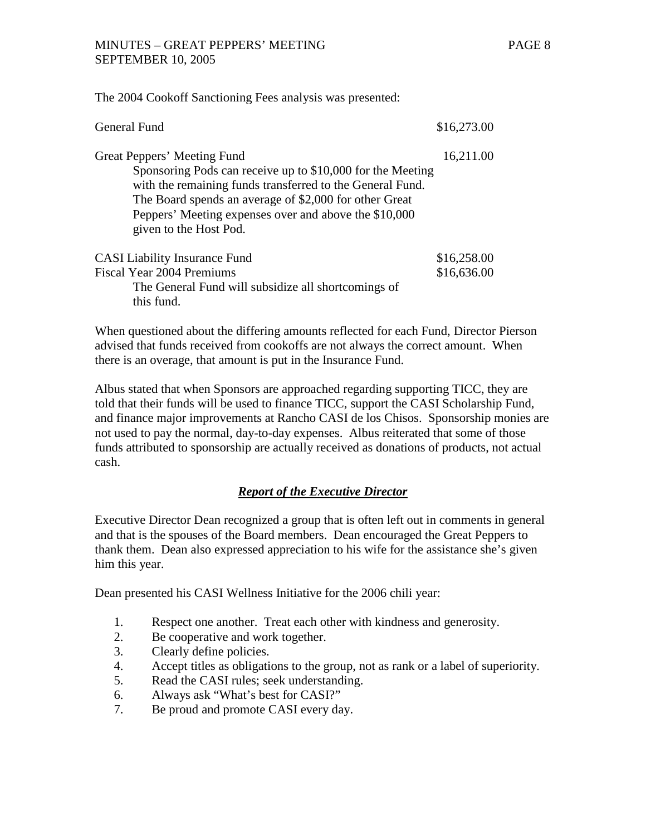The 2004 Cookoff Sanctioning Fees analysis was presented:

| General Fund                                                                                                                                                                                                                                                                                        | \$16,273.00                |
|-----------------------------------------------------------------------------------------------------------------------------------------------------------------------------------------------------------------------------------------------------------------------------------------------------|----------------------------|
| Great Peppers' Meeting Fund<br>Sponsoring Pods can receive up to \$10,000 for the Meeting<br>with the remaining funds transferred to the General Fund.<br>The Board spends an average of \$2,000 for other Great<br>Peppers' Meeting expenses over and above the \$10,000<br>given to the Host Pod. | 16,211.00                  |
| <b>CASI</b> Liability Insurance Fund<br><b>Fiscal Year 2004 Premiums</b><br>The General Fund will subsidize all shortcomings of<br>this fund.                                                                                                                                                       | \$16,258.00<br>\$16,636.00 |

When questioned about the differing amounts reflected for each Fund, Director Pierson advised that funds received from cookoffs are not always the correct amount. When there is an overage, that amount is put in the Insurance Fund.

Albus stated that when Sponsors are approached regarding supporting TICC, they are told that their funds will be used to finance TICC, support the CASI Scholarship Fund, and finance major improvements at Rancho CASI de los Chisos. Sponsorship monies are not used to pay the normal, day-to-day expenses. Albus reiterated that some of those funds attributed to sponsorship are actually received as donations of products, not actual cash.

# *Report of the Executive Director*

Executive Director Dean recognized a group that is often left out in comments in general and that is the spouses of the Board members. Dean encouraged the Great Peppers to thank them. Dean also expressed appreciation to his wife for the assistance she's given him this year.

Dean presented his CASI Wellness Initiative for the 2006 chili year:

- 1. Respect one another. Treat each other with kindness and generosity.
- 2. Be cooperative and work together.
- 3. Clearly define policies.
- 4. Accept titles as obligations to the group, not as rank or a label of superiority.
- 5. Read the CASI rules; seek understanding.
- 6. Always ask "What's best for CASI?"
- 7. Be proud and promote CASI every day.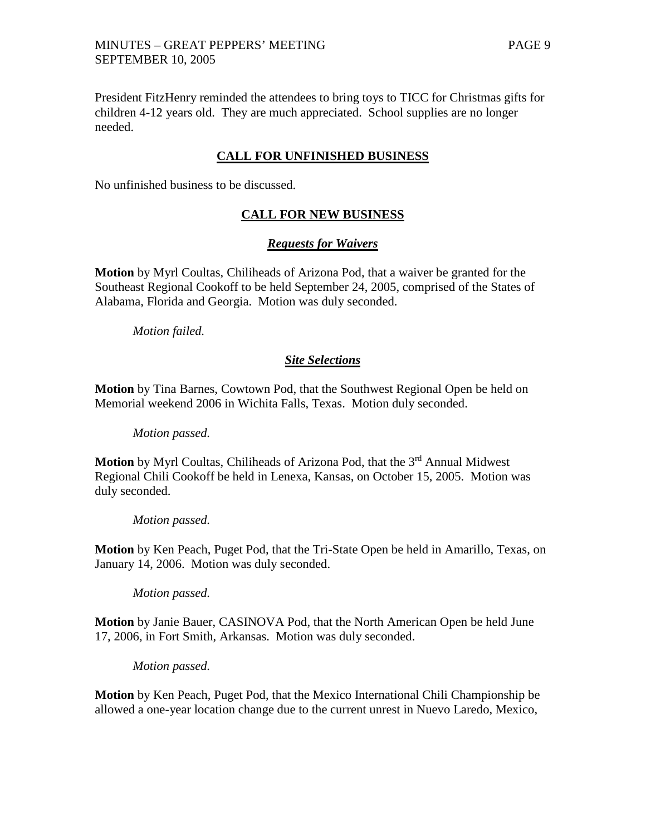## MINUTES – GREAT PEPPERS' MEETING PAGE 9 SEPTEMBER 10, 2005

President FitzHenry reminded the attendees to bring toys to TICC for Christmas gifts for children 4-12 years old. They are much appreciated. School supplies are no longer needed.

## **CALL FOR UNFINISHED BUSINESS**

No unfinished business to be discussed.

## **CALL FOR NEW BUSINESS**

#### *Requests for Waivers*

**Motion** by Myrl Coultas, Chiliheads of Arizona Pod, that a waiver be granted for the Southeast Regional Cookoff to be held September 24, 2005, comprised of the States of Alabama, Florida and Georgia. Motion was duly seconded.

*Motion failed.*

#### *Site Selections*

**Motion** by Tina Barnes, Cowtown Pod, that the Southwest Regional Open be held on Memorial weekend 2006 in Wichita Falls, Texas. Motion duly seconded.

*Motion passed.*

**Motion** by Myrl Coultas, Chiliheads of Arizona Pod, that the 3<sup>rd</sup> Annual Midwest Regional Chili Cookoff be held in Lenexa, Kansas, on October 15, 2005. Motion was duly seconded.

*Motion passed.*

**Motion** by Ken Peach, Puget Pod, that the Tri-State Open be held in Amarillo, Texas, on January 14, 2006. Motion was duly seconded.

*Motion passed.*

**Motion** by Janie Bauer, CASINOVA Pod, that the North American Open be held June 17, 2006, in Fort Smith, Arkansas. Motion was duly seconded.

*Motion passed.*

**Motion** by Ken Peach, Puget Pod, that the Mexico International Chili Championship be allowed a one-year location change due to the current unrest in Nuevo Laredo, Mexico,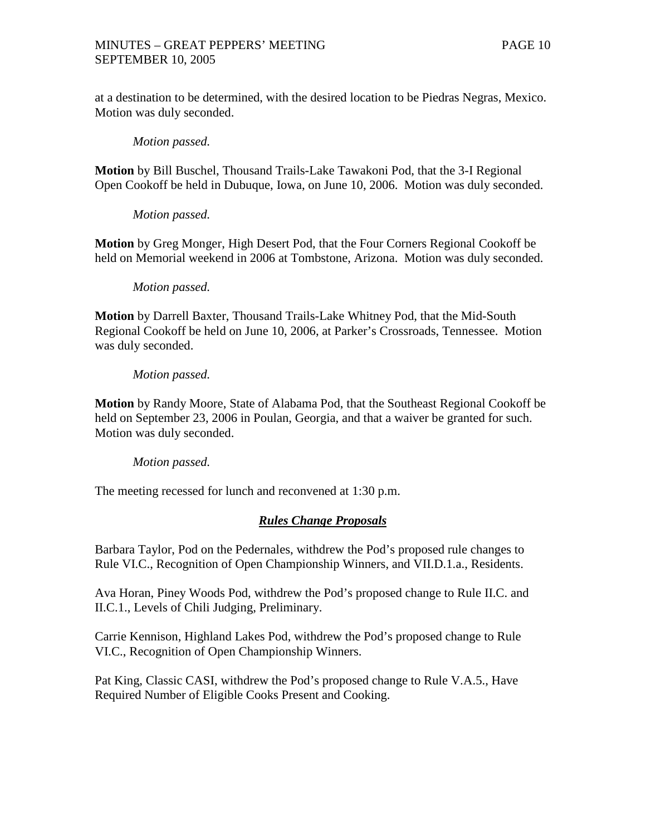at a destination to be determined, with the desired location to be Piedras Negras, Mexico. Motion was duly seconded.

### *Motion passed.*

**Motion** by Bill Buschel, Thousand Trails-Lake Tawakoni Pod, that the 3-I Regional Open Cookoff be held in Dubuque, Iowa, on June 10, 2006. Motion was duly seconded.

*Motion passed.*

**Motion** by Greg Monger, High Desert Pod, that the Four Corners Regional Cookoff be held on Memorial weekend in 2006 at Tombstone, Arizona. Motion was duly seconded.

#### *Motion passed.*

**Motion** by Darrell Baxter, Thousand Trails-Lake Whitney Pod, that the Mid-South Regional Cookoff be held on June 10, 2006, at Parker's Crossroads, Tennessee. Motion was duly seconded.

## *Motion passed.*

**Motion** by Randy Moore, State of Alabama Pod, that the Southeast Regional Cookoff be held on September 23, 2006 in Poulan, Georgia, and that a waiver be granted for such. Motion was duly seconded.

## *Motion passed.*

The meeting recessed for lunch and reconvened at 1:30 p.m.

## *Rules Change Proposals*

Barbara Taylor, Pod on the Pedernales, withdrew the Pod's proposed rule changes to Rule VI.C., Recognition of Open Championship Winners, and VII.D.1.a., Residents.

Ava Horan, Piney Woods Pod, withdrew the Pod's proposed change to Rule II.C. and II.C.1., Levels of Chili Judging, Preliminary.

Carrie Kennison, Highland Lakes Pod, withdrew the Pod's proposed change to Rule VI.C., Recognition of Open Championship Winners.

Pat King, Classic CASI, withdrew the Pod's proposed change to Rule V.A.5., Have Required Number of Eligible Cooks Present and Cooking.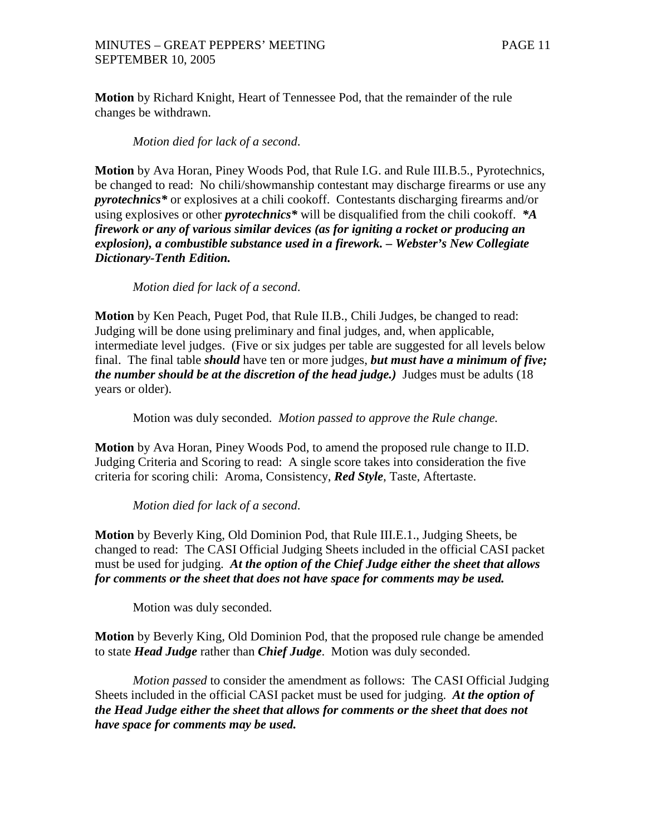**Motion** by Richard Knight, Heart of Tennessee Pod, that the remainder of the rule changes be withdrawn.

*Motion died for lack of a second*.

**Motion** by Ava Horan, Piney Woods Pod, that Rule I.G. and Rule III.B.5., Pyrotechnics, be changed to read: No chili/showmanship contestant may discharge firearms or use any *pyrotechnics\** or explosives at a chili cookoff. Contestants discharging firearms and/or using explosives or other *pyrotechnics\** will be disqualified from the chili cookoff. *\*A firework or any of various similar devices (as for igniting a rocket or producing an explosion), a combustible substance used in a firework. – Webster's New Collegiate Dictionary-Tenth Edition.*

*Motion died for lack of a second*.

**Motion** by Ken Peach, Puget Pod, that Rule II.B., Chili Judges, be changed to read: Judging will be done using preliminary and final judges, and, when applicable, intermediate level judges. (Five or six judges per table are suggested for all levels below final. The final table *should* have ten or more judges, *but must have a minimum of five; the number should be at the discretion of the head judge.)*Judges must be adults (18 years or older).

Motion was duly seconded. *Motion passed to approve the Rule change.*

**Motion** by Ava Horan, Piney Woods Pod, to amend the proposed rule change to II.D. Judging Criteria and Scoring to read: A single score takes into consideration the five criteria for scoring chili: Aroma, Consistency, *Red Style*, Taste, Aftertaste.

*Motion died for lack of a second*.

**Motion** by Beverly King, Old Dominion Pod, that Rule III.E.1., Judging Sheets, be changed to read: The CASI Official Judging Sheets included in the official CASI packet must be used for judging. *At the option of the Chief Judge either the sheet that allows for comments or the sheet that does not have space for comments may be used.*

Motion was duly seconded.

**Motion** by Beverly King, Old Dominion Pod, that the proposed rule change be amended to state *Head Judge* rather than *Chief Judge*. Motion was duly seconded.

*Motion passed* to consider the amendment as follows: The CASI Official Judging Sheets included in the official CASI packet must be used for judging. *At the option of the Head Judge either the sheet that allows for comments or the sheet that does not have space for comments may be used.*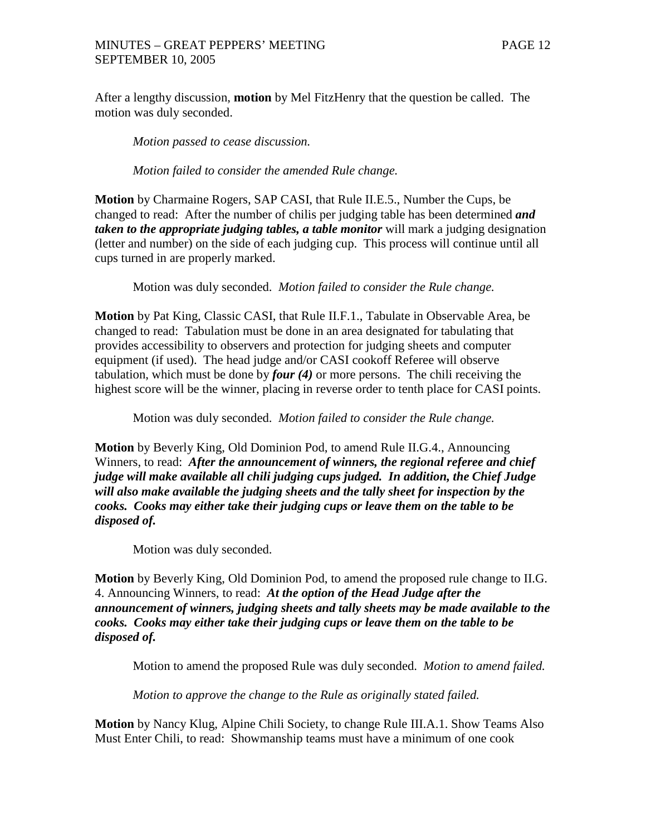After a lengthy discussion, **motion** by Mel FitzHenry that the question be called. The motion was duly seconded.

*Motion passed to cease discussion.*

*Motion failed to consider the amended Rule change.*

**Motion** by Charmaine Rogers, SAP CASI, that Rule II.E.5., Number the Cups, be changed to read: After the number of chilis per judging table has been determined *and taken to the appropriate judging tables, a table monitor* will mark a judging designation (letter and number) on the side of each judging cup. This process will continue until all cups turned in are properly marked.

Motion was duly seconded. *Motion failed to consider the Rule change.*

**Motion** by Pat King, Classic CASI, that Rule II.F.1., Tabulate in Observable Area, be changed to read: Tabulation must be done in an area designated for tabulating that provides accessibility to observers and protection for judging sheets and computer equipment (if used). The head judge and/or CASI cookoff Referee will observe tabulation, which must be done by *four (4)* or more persons. The chili receiving the highest score will be the winner, placing in reverse order to tenth place for CASI points.

Motion was duly seconded. *Motion failed to consider the Rule change.*

**Motion** by Beverly King, Old Dominion Pod, to amend Rule II.G.4., Announcing Winners, to read: *After the announcement of winners, the regional referee and chief judge will make available all chili judging cups judged. In addition, the Chief Judge will also make available the judging sheets and the tally sheet for inspection by the cooks. Cooks may either take their judging cups or leave them on the table to be disposed of.*

Motion was duly seconded.

**Motion** by Beverly King, Old Dominion Pod, to amend the proposed rule change to II.G. 4. Announcing Winners, to read: *At the option of the Head Judge after the announcement of winners, judging sheets and tally sheets may be made available to the cooks. Cooks may either take their judging cups or leave them on the table to be disposed of.*

Motion to amend the proposed Rule was duly seconded. *Motion to amend failed.*

*Motion to approve the change to the Rule as originally stated failed.*

**Motion** by Nancy Klug, Alpine Chili Society, to change Rule III.A.1. Show Teams Also Must Enter Chili, to read: Showmanship teams must have a minimum of one cook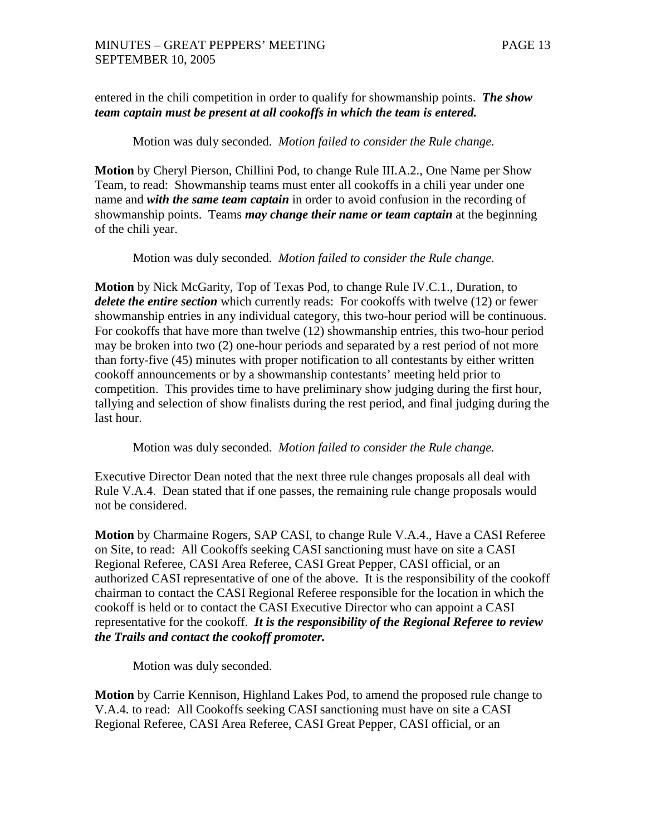entered in the chili competition in order to qualify for showmanship points. *The show team captain must be present at all cookoffs in which the team is entered.*

Motion was duly seconded. *Motion failed to consider the Rule change.*

**Motion** by Cheryl Pierson, Chillini Pod, to change Rule III.A.2., One Name per Show Team, to read: Showmanship teams must enter all cookoffs in a chili year under one name and *with the same team captain* in order to avoid confusion in the recording of showmanship points. Teams *may change their name or team captain* at the beginning of the chili year.

Motion was duly seconded. *Motion failed to consider the Rule change.*

**Motion** by Nick McGarity, Top of Texas Pod, to change Rule IV.C.1., Duration, to *delete the entire section* which currently reads: For cookoffs with twelve (12) or fewer showmanship entries in any individual category, this two-hour period will be continuous. For cookoffs that have more than twelve (12) showmanship entries, this two-hour period may be broken into two (2) one-hour periods and separated by a rest period of not more than forty-five (45) minutes with proper notification to all contestants by either written cookoff announcements or by a showmanship contestants' meeting held prior to competition. This provides time to have preliminary show judging during the first hour, tallying and selection of show finalists during the rest period, and final judging during the last hour.

Motion was duly seconded. *Motion failed to consider the Rule change.*

Executive Director Dean noted that the next three rule changes proposals all deal with Rule V.A.4. Dean stated that if one passes, the remaining rule change proposals would not be considered.

**Motion** by Charmaine Rogers, SAP CASI, to change Rule V.A.4., Have a CASI Referee on Site, to read: All Cookoffs seeking CASI sanctioning must have on site a CASI Regional Referee, CASI Area Referee, CASI Great Pepper, CASI official, or an authorized CASI representative of one of the above. It is the responsibility of the cookoff chairman to contact the CASI Regional Referee responsible for the location in which the cookoff is held or to contact the CASI Executive Director who can appoint a CASI representative for the cookoff. *It is the responsibility of the Regional Referee to review the Trails and contact the cookoff promoter.*

Motion was duly seconded.

**Motion** by Carrie Kennison, Highland Lakes Pod, to amend the proposed rule change to V.A.4. to read: All Cookoffs seeking CASI sanctioning must have on site a CASI Regional Referee, CASI Area Referee, CASI Great Pepper, CASI official, or an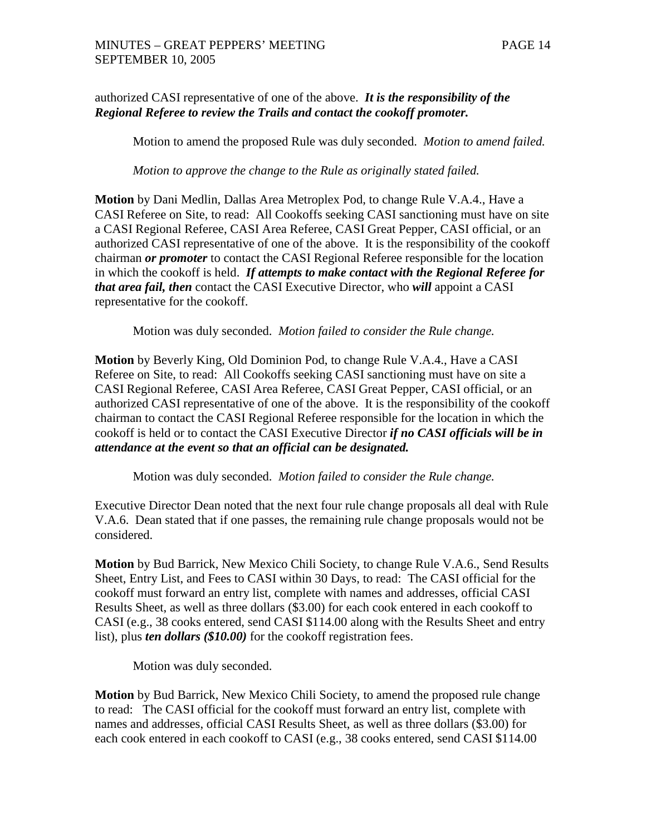## authorized CASI representative of one of the above. *It is the responsibility of the Regional Referee to review the Trails and contact the cookoff promoter.*

Motion to amend the proposed Rule was duly seconded. *Motion to amend failed.*

*Motion to approve the change to the Rule as originally stated failed.*

**Motion** by Dani Medlin, Dallas Area Metroplex Pod, to change Rule V.A.4., Have a CASI Referee on Site, to read: All Cookoffs seeking CASI sanctioning must have on site a CASI Regional Referee, CASI Area Referee, CASI Great Pepper, CASI official, or an authorized CASI representative of one of the above. It is the responsibility of the cookoff chairman *or promoter* to contact the CASI Regional Referee responsible for the location in which the cookoff is held. *If attempts to make contact with the Regional Referee for that area fail, then* contact the CASI Executive Director, who *will* appoint a CASI representative for the cookoff.

Motion was duly seconded. *Motion failed to consider the Rule change.*

**Motion** by Beverly King, Old Dominion Pod, to change Rule V.A.4., Have a CASI Referee on Site, to read: All Cookoffs seeking CASI sanctioning must have on site a CASI Regional Referee, CASI Area Referee, CASI Great Pepper, CASI official, or an authorized CASI representative of one of the above. It is the responsibility of the cookoff chairman to contact the CASI Regional Referee responsible for the location in which the cookoff is held or to contact the CASI Executive Director *if no CASI officials will be in attendance at the event so that an official can be designated.*

Motion was duly seconded. *Motion failed to consider the Rule change.*

Executive Director Dean noted that the next four rule change proposals all deal with Rule V.A.6. Dean stated that if one passes, the remaining rule change proposals would not be considered.

**Motion** by Bud Barrick, New Mexico Chili Society, to change Rule V.A.6., Send Results Sheet, Entry List, and Fees to CASI within 30 Days, to read: The CASI official for the cookoff must forward an entry list, complete with names and addresses, official CASI Results Sheet, as well as three dollars (\$3.00) for each cook entered in each cookoff to CASI (e.g., 38 cooks entered, send CASI \$114.00 along with the Results Sheet and entry list), plus *ten dollars (\$10.00)* for the cookoff registration fees.

Motion was duly seconded.

**Motion** by Bud Barrick, New Mexico Chili Society, to amend the proposed rule change to read: The CASI official for the cookoff must forward an entry list, complete with names and addresses, official CASI Results Sheet, as well as three dollars (\$3.00) for each cook entered in each cookoff to CASI (e.g., 38 cooks entered, send CASI \$114.00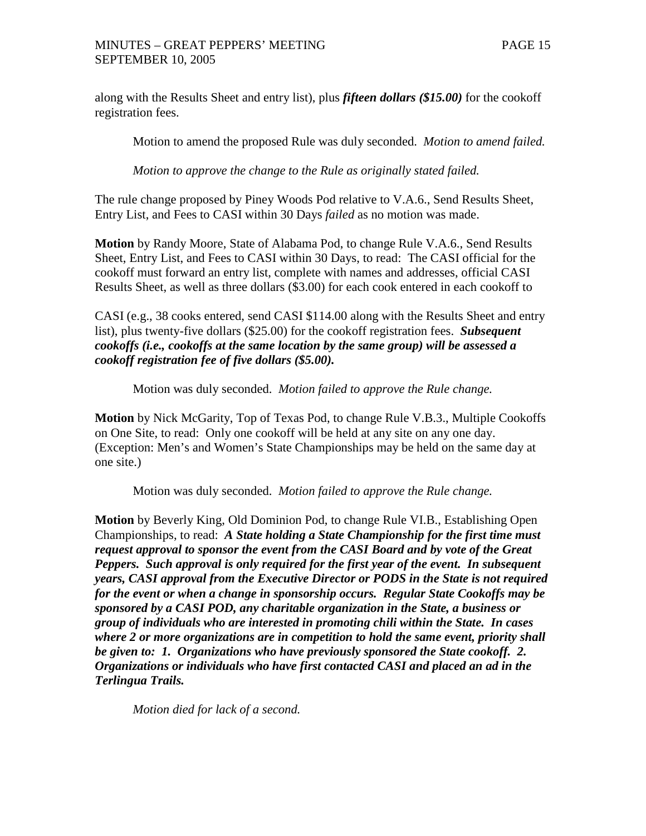along with the Results Sheet and entry list), plus *fifteen dollars (\$15.00)* for the cookoff registration fees.

Motion to amend the proposed Rule was duly seconded. *Motion to amend failed.*

*Motion to approve the change to the Rule as originally stated failed.*

The rule change proposed by Piney Woods Pod relative to V.A.6., Send Results Sheet, Entry List, and Fees to CASI within 30 Days *failed* as no motion was made.

**Motion** by Randy Moore, State of Alabama Pod, to change Rule V.A.6., Send Results Sheet, Entry List, and Fees to CASI within 30 Days, to read: The CASI official for the cookoff must forward an entry list, complete with names and addresses, official CASI Results Sheet, as well as three dollars (\$3.00) for each cook entered in each cookoff to

CASI (e.g., 38 cooks entered, send CASI \$114.00 along with the Results Sheet and entry list), plus twenty-five dollars (\$25.00) for the cookoff registration fees. *Subsequent cookoffs (i.e., cookoffs at the same location by the same group) will be assessed a cookoff registration fee of five dollars (\$5.00).*

Motion was duly seconded. *Motion failed to approve the Rule change.*

**Motion** by Nick McGarity, Top of Texas Pod, to change Rule V.B.3., Multiple Cookoffs on One Site, to read: Only one cookoff will be held at any site on any one day. (Exception: Men's and Women's State Championships may be held on the same day at one site.)

Motion was duly seconded. *Motion failed to approve the Rule change.*

**Motion** by Beverly King, Old Dominion Pod, to change Rule VI.B., Establishing Open Championships, to read: *A State holding a State Championship for the first time must request approval to sponsor the event from the CASI Board and by vote of the Great Peppers. Such approval is only required for the first year of the event. In subsequent years, CASI approval from the Executive Director or PODS in the State is not required for the event or when a change in sponsorship occurs. Regular State Cookoffs may be sponsored by a CASI POD, any charitable organization in the State, a business or group of individuals who are interested in promoting chili within the State. In cases where 2 or more organizations are in competition to hold the same event, priority shall be given to: 1. Organizations who have previously sponsored the State cookoff. 2. Organizations or individuals who have first contacted CASI and placed an ad in the Terlingua Trails.*

*Motion died for lack of a second.*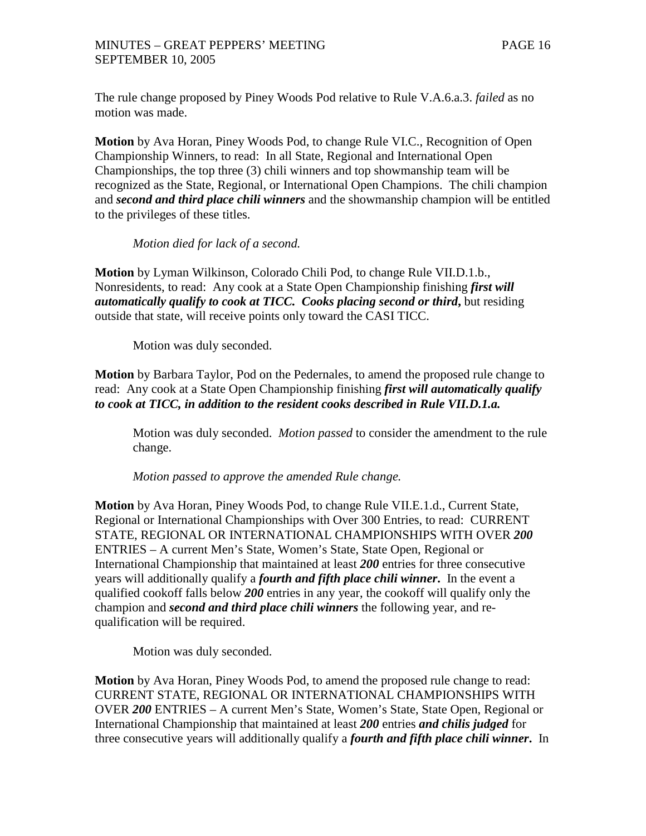The rule change proposed by Piney Woods Pod relative to Rule V.A.6.a.3. *failed* as no motion was made.

**Motion** by Ava Horan, Piney Woods Pod, to change Rule VI.C., Recognition of Open Championship Winners, to read: In all State, Regional and International Open Championships, the top three (3) chili winners and top showmanship team will be recognized as the State, Regional, or International Open Champions. The chili champion and *second and third place chili winners* and the showmanship champion will be entitled to the privileges of these titles.

*Motion died for lack of a second.*

**Motion** by Lyman Wilkinson, Colorado Chili Pod, to change Rule VII.D.1.b., Nonresidents, to read: Any cook at a State Open Championship finishing *first will automatically qualify to cook at TICC. Cooks placing second or third***,** but residing outside that state, will receive points only toward the CASI TICC.

Motion was duly seconded.

**Motion** by Barbara Taylor, Pod on the Pedernales, to amend the proposed rule change to read: Any cook at a State Open Championship finishing *first will automatically qualify to cook at TICC, in addition to the resident cooks described in Rule VII.D.1.a.*

Motion was duly seconded. *Motion passed* to consider the amendment to the rule change.

*Motion passed to approve the amended Rule change.*

**Motion** by Ava Horan, Piney Woods Pod, to change Rule VII.E.1.d., Current State, Regional or International Championships with Over 300 Entries, to read: CURRENT STATE, REGIONAL OR INTERNATIONAL CHAMPIONSHIPS WITH OVER *200* ENTRIES – A current Men's State, Women's State, State Open, Regional or International Championship that maintained at least *200* entries for three consecutive years will additionally qualify a *fourth and fifth place chili winner***.** In the event a qualified cookoff falls below *200* entries in any year, the cookoff will qualify only the champion and *second and third place chili winners* the following year, and requalification will be required.

Motion was duly seconded.

**Motion** by Ava Horan, Piney Woods Pod, to amend the proposed rule change to read: CURRENT STATE, REGIONAL OR INTERNATIONAL CHAMPIONSHIPS WITH OVER *200* ENTRIES – A current Men's State, Women's State, State Open, Regional or International Championship that maintained at least *200* entries *and chilis judged* for three consecutive years will additionally qualify a *fourth and fifth place chili winner***.** In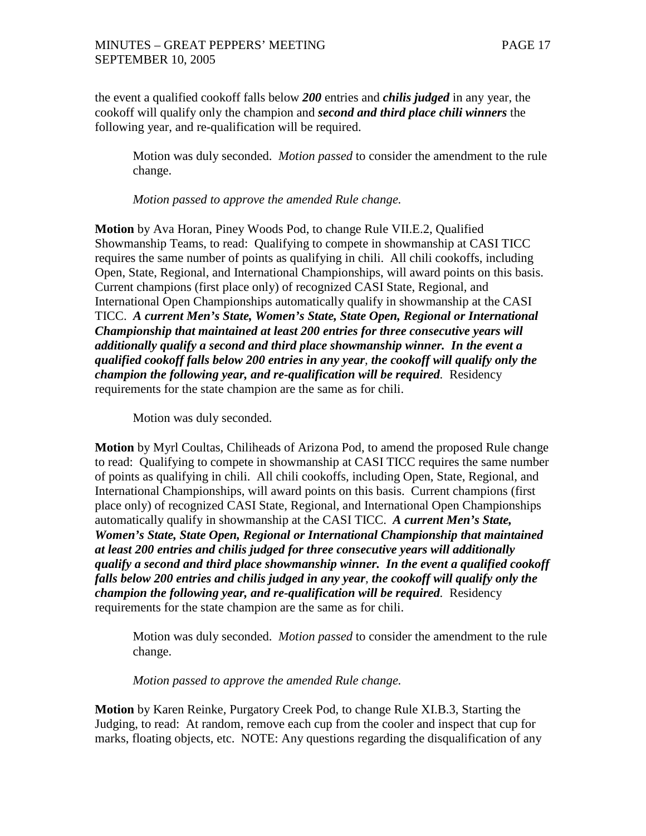the event a qualified cookoff falls below *200* entries and *chilis judged* in any year, the cookoff will qualify only the champion and *second and third place chili winners* the following year, and re-qualification will be required.

Motion was duly seconded. *Motion passed* to consider the amendment to the rule change.

*Motion passed to approve the amended Rule change.*

**Motion** by Ava Horan, Piney Woods Pod, to change Rule VII.E.2, Qualified Showmanship Teams, to read: Qualifying to compete in showmanship at CASI TICC requires the same number of points as qualifying in chili. All chili cookoffs, including Open, State, Regional, and International Championships, will award points on this basis. Current champions (first place only) of recognized CASI State, Regional, and International Open Championships automatically qualify in showmanship at the CASI TICC. *A current Men's State, Women's State, State Open, Regional or International Championship that maintained at least 200 entries for three consecutive years will additionally qualify a second and third place showmanship winner. In the event a qualified cookoff falls below 200 entries in any year, the cookoff will qualify only the champion the following year, and re-qualification will be required.* Residency requirements for the state champion are the same as for chili.

Motion was duly seconded.

**Motion** by Myrl Coultas, Chiliheads of Arizona Pod, to amend the proposed Rule change to read: Qualifying to compete in showmanship at CASI TICC requires the same number of points as qualifying in chili. All chili cookoffs, including Open, State, Regional, and International Championships, will award points on this basis. Current champions (first place only) of recognized CASI State, Regional, and International Open Championships automatically qualify in showmanship at the CASI TICC. *A current Men's State, Women's State, State Open, Regional or International Championship that maintained at least 200 entries and chilis judged for three consecutive years will additionally qualify a second and third place showmanship winner. In the event a qualified cookoff falls below 200 entries and chilis judged in any year, the cookoff will qualify only the champion the following year, and re-qualification will be required.* Residency requirements for the state champion are the same as for chili.

Motion was duly seconded. *Motion passed* to consider the amendment to the rule change.

*Motion passed to approve the amended Rule change.*

**Motion** by Karen Reinke, Purgatory Creek Pod, to change Rule XI.B.3, Starting the Judging, to read: At random, remove each cup from the cooler and inspect that cup for marks, floating objects, etc. NOTE: Any questions regarding the disqualification of any